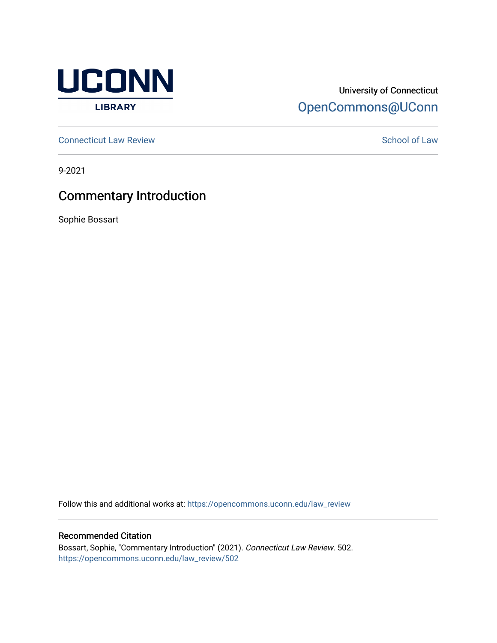

### University of Connecticut [OpenCommons@UConn](https://opencommons.uconn.edu/)

**[Connecticut Law Review](https://opencommons.uconn.edu/law_review) [School of Law](https://opencommons.uconn.edu/sol) Review School of Law School of Law School of Law School of Law School of Law School of Law School of Law School of Law School of Law School of Law School of Law School of Law School of** 

9-2021

## Commentary Introduction

Sophie Bossart

Follow this and additional works at: [https://opencommons.uconn.edu/law\\_review](https://opencommons.uconn.edu/law_review?utm_source=opencommons.uconn.edu%2Flaw_review%2F502&utm_medium=PDF&utm_campaign=PDFCoverPages)

#### Recommended Citation

Bossart, Sophie, "Commentary Introduction" (2021). Connecticut Law Review. 502. [https://opencommons.uconn.edu/law\\_review/502](https://opencommons.uconn.edu/law_review/502?utm_source=opencommons.uconn.edu%2Flaw_review%2F502&utm_medium=PDF&utm_campaign=PDFCoverPages)